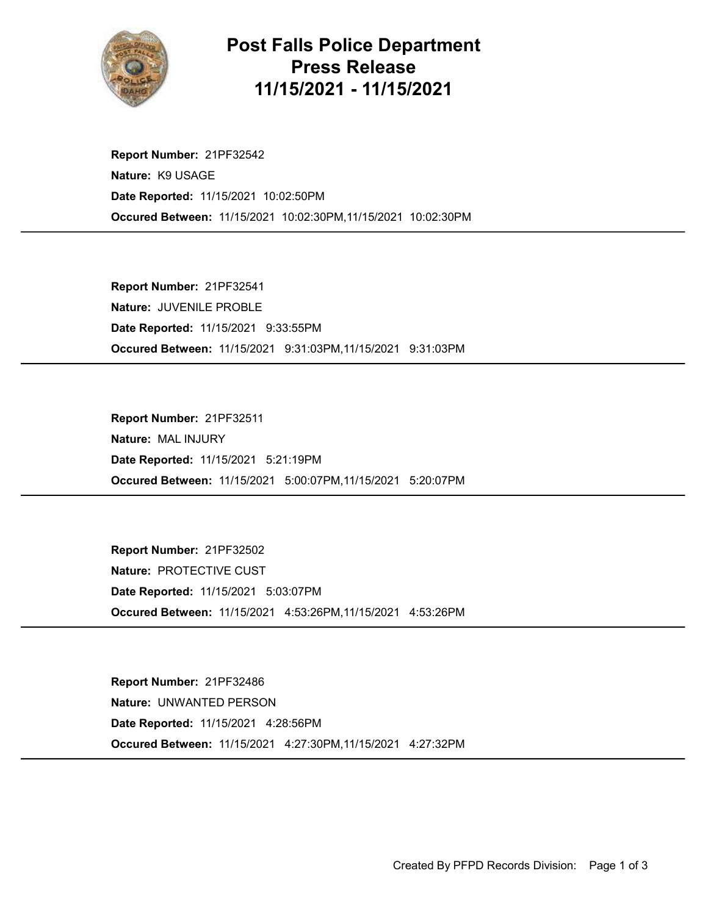

## Post Falls Police Department Press Release 11/15/2021 - 11/15/2021

Occured Between: 11/15/2021 10:02:30PM,11/15/2021 10:02:30PM Report Number: 21PF32542 Nature: K9 USAGE Date Reported: 11/15/2021 10:02:50PM

Occured Between: 11/15/2021 9:31:03PM,11/15/2021 9:31:03PM Report Number: 21PF32541 Nature: JUVENILE PROBLE Date Reported: 11/15/2021 9:33:55PM

Occured Between: 11/15/2021 5:00:07PM,11/15/2021 5:20:07PM Report Number: 21PF32511 Nature: MAL INJURY Date Reported: 11/15/2021 5:21:19PM

Occured Between: 11/15/2021 4:53:26PM,11/15/2021 4:53:26PM Report Number: 21PF32502 Nature: PROTECTIVE CUST Date Reported: 11/15/2021 5:03:07PM

Occured Between: 11/15/2021 4:27:30PM,11/15/2021 4:27:32PM Report Number: 21PF32486 Nature: UNWANTED PERSON Date Reported: 11/15/2021 4:28:56PM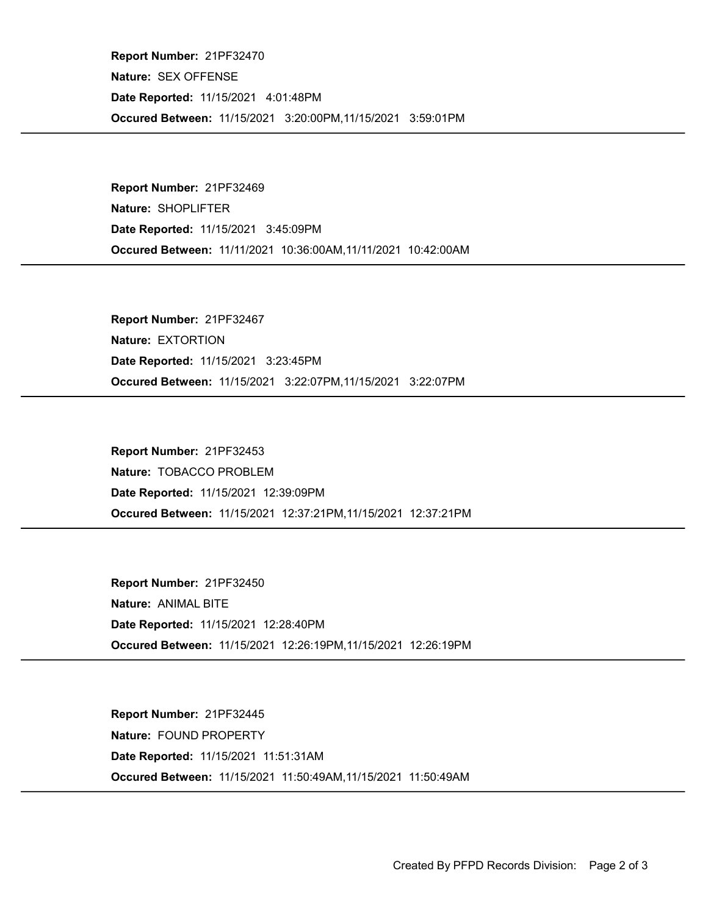Occured Between: 11/15/2021 3:20:00PM,11/15/2021 3:59:01PM Report Number: 21PF32470 Nature: SEX OFFENSE Date Reported: 11/15/2021 4:01:48PM

Occured Between: 11/11/2021 10:36:00AM,11/11/2021 10:42:00AM Report Number: 21PF32469 Nature: SHOPLIFTER Date Reported: 11/15/2021 3:45:09PM

Occured Between: 11/15/2021 3:22:07PM,11/15/2021 3:22:07PM Report Number: 21PF32467 Nature: EXTORTION Date Reported: 11/15/2021 3:23:45PM

Occured Between: 11/15/2021 12:37:21PM,11/15/2021 12:37:21PM Report Number: 21PF32453 Nature: TOBACCO PROBLEM Date Reported: 11/15/2021 12:39:09PM

Occured Between: 11/15/2021 12:26:19PM,11/15/2021 12:26:19PM Report Number: 21PF32450 Nature: ANIMAL BITE Date Reported: 11/15/2021 12:28:40PM

Occured Between: 11/15/2021 11:50:49AM,11/15/2021 11:50:49AM Report Number: 21PF32445 Nature: FOUND PROPERTY Date Reported: 11/15/2021 11:51:31AM